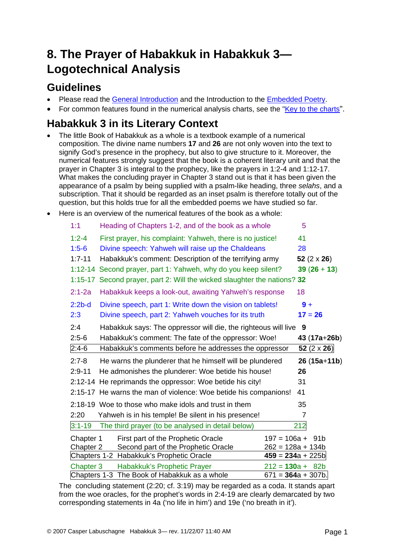# **8. The Prayer of Habakkuk in Habakkuk 3— Logotechnical Analysis**

### **Guidelines**

- Please read the [General Introduction](http://www.labuschagne.nl/aspects.pdf) and the Introduction to the [Embedded Poetry.](http://www.labuschagne.nl/intro.embed.pdf)
- For common features found in the numerical analysis charts, see the "[Key to the charts](http://www.labuschagne.nl/keytocharts.pdf)".

### **Habakkuk 3 in its Literary Context**

- The little Book of Habakkuk as a whole is a textbook example of a numerical composition. The divine name numbers **17** and **26** are not only woven into the text to signify God's presence in the prophecy, but also to give structure to it. Moreover, the numerical features strongly suggest that the book is a coherent literary unit and that the prayer in Chapter 3 is integral to the prophecy, like the prayers in 1:2-4 and 1:12-17. What makes the concluding prayer in Chapter 3 stand out is that it has been given the appearance of a psalm by being supplied with a psalm-like heading, three *selahs*, and a subscription. That it should be regarded as an inset psalm is therefore totally out of the question, but this holds true for all the embedded poems we have studied so far.
- Here is an overview of the numerical features of the book as a whole:

| 1:1         | Heading of Chapters 1-2, and of the book as a whole              | 5                    |
|-------------|------------------------------------------------------------------|----------------------|
| $1:2 - 4$   | First prayer, his complaint: Yahweh, there is no justice!        | 41                   |
| $1:5-6$     | Divine speech: Yahweh will raise up the Chaldeans                | 28                   |
| $1:7 - 11$  | Habakkuk's comment: Description of the terrifying army           | 52 $(2 \times 26)$   |
| $1:12 - 14$ | Second prayer, part 1: Yahweh, why do you keep silent?           | $39(26+13)$          |
| $1:15-17$   | Second prayer, part 2: Will the wicked slaughter the nations? 32 |                      |
| $2:1 - 2a$  | Habakkuk keeps a look-out, awaiting Yahweh's response            | 18                   |
| $2:2b-d$    | Divine speech, part 1: Write down the vision on tablets!         | $9+$                 |
| 2:3         | Divine speech, part 2: Yahweh vouches for its truth              | $17 = 26$            |
| 2:4         | Habakkuk says: The oppressor will die, the righteous will live 9 |                      |
| $2:5-6$     | Habakkuk's comment: The fate of the oppressor: Woe!              | $43(17a+26b)$        |
| $2:4-6$     | Habakkuk's comments before he addresses the oppressor            | 52 $(2 \times 26)$   |
| $2:7-8$     | He warns the plunderer that he himself will be plundered         | $26(15a+11b)$        |
| $2:9 - 11$  | He admonishes the plunderer: Woe betide his house!               | 26                   |
|             | 2:12-14 He reprimands the oppressor: Woe betide his city!        | 31                   |
|             | 2:15-17 He warns the man of violence: Woe betide his companions! | 41                   |
|             | 2:18-19 Woe to those who make idols and trust in them            | 35                   |
| 2:20        | Yahweh is in his temple! Be silent in his presence!              | 7                    |
| $3:1 - 19$  | The third prayer (to be analysed in detail below)                | 212                  |
| Chapter 1   | First part of the Prophetic Oracle                               | $197 = 106a + 91b$   |
| Chapter 2   | Second part of the Prophetic Oracle                              | $262 = 128a + 134b$  |
|             | Chapters 1-2 Habakkuk's Prophetic Oracle                         | $459 = 234a + 225b$  |
| Chapter 3   | Habakkuk's Prophetic Prayer                                      | $212 = 130a + 82b$   |
|             | Chapters 1-3 The Book of Habakkuk as a whole                     | $671 = 364a + 307b.$ |

The concluding statement (2:20; cf. 3:19) may be regarded as a coda. It stands apart from the woe oracles, for the prophet's words in 2:4-19 are clearly demarcated by two corresponding statements in 4a ('no life in him') and 19e ('no breath in it').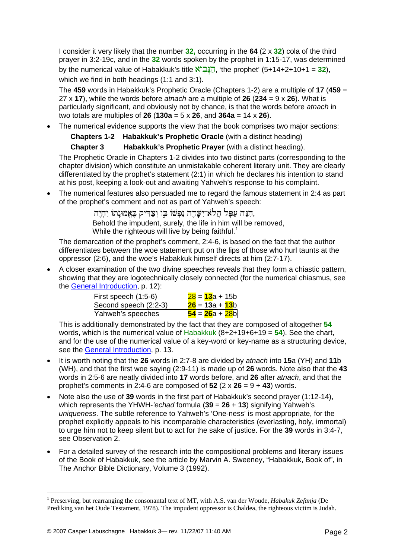I consider it very likely that the number **32,** occurring in the **64** (2 x **32**) cola of the third prayer in 3:2-19c, and in the **32** words spoken by the prophet in 1:15-17, was determined by the numerical value of Habakkuk's title  $\overline{X}$ הנביא, 'the prophet' (5+14+2+10+1 = 32), which we find in both headings (1:1 and 3:1).

The **459** words in Habakkuk's Prophetic Oracle (Chapters 1-2) are a multiple of **17** (**459** = 27 x **17**), while the words before *atnach* are a multiple of **26** (**234** = 9 x **26**). What is particularly significant, and obviously not by chance, is that the words before *atnach* in two totals are multiples of **26** (**130a** = 5 x **26**, and **364a** = 14 x **26**).

• The numerical evidence supports the view that the book comprises two major sections:

#### **Chapters 1-2 Habakkuk's Prophetic Oracle** (with a distinct heading)

#### **Chapter 3 Habakkuk's Prophetic Prayer** (with a distinct heading).

The Prophetic Oracle in Chapters 1-2 divides into two distinct parts (corresponding to the chapter division) which constitute an unmistakable coherent literary unit. They are clearly differentiated by the prophet's statement (2:1) in which he declares his intention to stand at his post, keeping a look-out and awaiting Yahweh's response to his complaint.

• The numerical features also persuaded me to regard the famous statement in 2:4 as part of the prophet's comment and not as part of Yahweh's speech:

> הִנֵּה עַפַּל הֲלֹאי־ִשָּׁרֵה נַפְשׁוֹ בִּוֹ וְצַדִּיק בֵּאֱמוּנַתוֹ יִחְיֵה, Behold the impudent, surely, the life in him will be removed, While the righteous will live by being faithful.<sup>[1](#page-1-0)</sup>

The demarcation of the prophet's comment, 2:4-6, is based on the fact that the author differentiates between the woe statement put on the lips of those who hurl taunts at the oppressor (2:6), and the woe's Habakkuk himself directs at him (2:7-17).

• A closer examination of the two divine speeches reveals that they form a chiastic pattern, showing that they are logotechnically closely connected (for the numerical chiasmus, see the [General Introduction,](http://www.labuschagne.nl/aspects.pdf) p. 12):

| First speech $(1:5-6)$ | $28 = 13a + 15b$ |
|------------------------|------------------|
| Second speech (2:2-3)  | $26 = 13a + 13b$ |
| Yahweh's speeches      | $54 = 26a + 28b$ |

This is additionally demonstrated by the fact that they are composed of altogether **54** words, which is the numerical value of Habakkuk (8+2+19+6+19 = **54**). See the chart, and for the use of the numerical value of a key-word or key-name as a structuring device, see the [General Introduction,](http://www.labuschagne.nl/aspects.pdf) p. 13.

- It is worth noting that the **26** words in 2:7-8 are divided by *atnach* into **15**a (YH) and **11**b (WH), and that the first woe saying (2:9-11) is made up of **26** words. Note also that the **43** words in 2:5-6 are neatly divided into **17** words before, and **26** after *atnach*, and that the prophet's comments in 2:4-6 are composed of  $52$  ( $2 \times 26 = 9 + 43$ ) words.
- Note also the use of **39** words in the first part of Habakkuk's second prayer (1:12-14), which represents the YHWH-*'echad* formula (**39** = **26** + **13**) signifying Yahweh's *uniqueness*. The subtle reference to Yahweh's 'One-ness' is most appropriate, for the prophet explicitly appeals to his incomparable characteristics (everlasting, holy, immortal) to urge him not to keep silent but to act for the sake of justice. For the **39** words in 3:4-7, see Observation 2.
- For a detailed survey of the research into the compositional problems and literary issues of the Book of Habakkuk, see the article by Marvin A. Sweeney, "Habakkuk, Book of", in The Anchor Bible Dictionary, Volume 3 (1992).

1

<span id="page-1-0"></span><sup>&</sup>lt;sup>1</sup> Preserving, but rearranging the consonantal text of MT, with A.S. van der Woude, *Habakuk Zefanja* (De Prediking van het Oude Testament, 1978). The impudent oppressor is Chaldea, the righteous victim is Judah.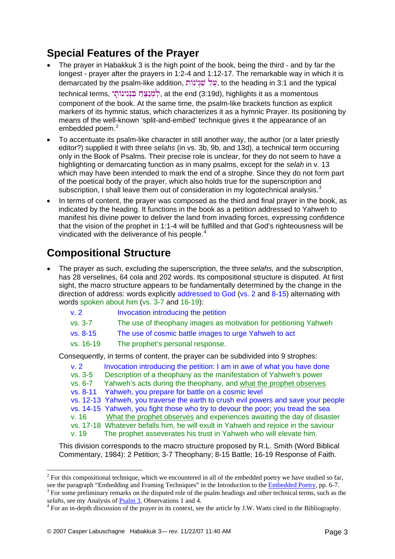## **Special Features of the Prayer**

- The prayer in Habakkuk 3 is the high point of the book, being the third and by far the longest - prayer after the prayers in 1:2-4 and 1:12-17. The remarkable way in which it is demarcated by the psalm-like addition, עֲל שׁ۪גְיֹנוֹת, to the heading in 3:1 and the typical technical terms, לְמְנָצֵה בְּנִינוֹתֵי), at the end (3:19d), highlights it as a momentous component of the book. At the same time, the psalm-like brackets function as explicit markers of its hymnic status, which characterizes it as a hymnic Prayer. Its positioning by means of the well-known 'split-and-embed' technique gives it the appearance of an embedded poem.<sup>[2](#page-2-0)</sup>
- To accentuate its psalm-like character in still another way, the author (or a later priestly editor?) supplied it with three *selahs* (in vs. 3b, 9b, and 13d), a technical term occurring only in the Book of Psalms. Their precise role is unclear, for they do not seem to have a highlighting or demarcating function as in many psalms, except for the *selah* in v. 13 which may have been intended to mark the end of a strophe. Since they do not form part of the poetical body of the prayer, which also holds true for the superscription and subscription, I shall leave them out of consideration in my logotechnical analysis.<sup>[3](#page-2-1)</sup>
- In terms of content, the prayer was composed as the third and final prayer in the book, as indicated by the heading. It functions in the book as a petition addressed to Yahweh to manifest his divine power to deliver the land from invading forces, expressing confidence that the vision of the prophet in 1:1-4 will be fulfilled and that God's righteousness will be vindicated with the deliverance of his people.<sup>[4](#page-2-2)</sup>

## **Compositional Structure**

- The prayer as such, excluding the superscription, the three *selahs,* and the subscription, has 28 verselines, 64 cola and 202 words. Its compositional structure is disputed. At first sight, the macro structure appears to be fundamentally determined by the change in the direction of address: words explicitly addressed to God (vs. 2 and 8-15) alternating with words spoken about him (vs. 3-7 and 16-19):
	- v. 2 Invocation introducing the petition
	- vs. 3-7 The use of theophany images as motivation for petitioning Yahweh
	- vs. 8-15 The use of cosmic battle images to urge Yahweh to act
	- vs. 16-19 The prophet's personal response.

Consequently, in terms of content, the prayer can be subdivided into 9 strophes:

- v. 2 Invocation introducing the petition: I am in awe of what you have done vs. 3-5 Description of a theophany as the manifestation of Yahweh's power
- vs. 6-7 Yahweh's acts during the theophany, and what the prophet observes
- vs. 8-11 Yahweh, you prepare for battle on a cosmic level
- vs. 12-13 Yahweh, you traverse the earth to crush evil powers and save your people
- vs. 14-15 Yahweh, you fight those who try to devour the poor; you tread the sea
- v. 16 What the prophet observes and experiences awaiting the day of disaster
- vs. 17-18 Whatever befalls him, he will exult in Yahweh and rejoice in the saviour
- v. 19 The prophet asseverates his trust in Yahweh who will elevate him.

This division corresponds to the macro structure proposed by R.L. Smith (Word Biblical Commentary, 1984): 2 Petition; 3-7 Theophany; 8-15 Battle; 16-19 Response of Faith.

1

<span id="page-2-0"></span> $2^2$  For this compositional technique, which we encountered in all of the embedded poetry we have studied so far, see the paragraph "Embedding and Framing Techniques" in the Introduction to the [Embedded Poetry,](http://www.labuschagne.nl/outside.htm) pp. 6-7.

<span id="page-2-1"></span><sup>&</sup>lt;sup>3</sup> For some preliminary remarks on the disputed role of the psalm headings and other technical terms, such as the *selahs*, see my Analysis of **Psalm 3**, Observations 1 and 4.

<span id="page-2-2"></span> $4$  For an in-depth discussion of the prayer in its context, see the article by J.W. Watts cited in the Bibliography.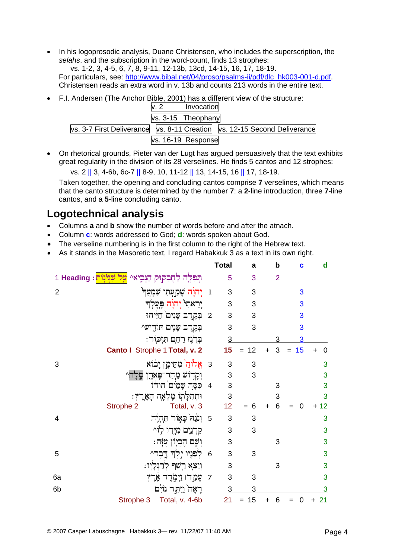• In his logoprosodic analysis, Duane Christensen, who includes the superscription, the selahs, and the subscription in the word-count, finds 13 strophes:

vs. 1-2, 3, 4-5, 6, 7, 8, 9-11, 12-13b, 13cd, 14-15, 16, 17, 18-19. For particulars, see: http://www.bibal.net/04/proso/psalms-ii/pdf/dlc\_hk003-001-d.pdf. Christensen reads an extra word in v. 13b and counts 213 words in the entire text.

• F.I. Andersen (The Anchor Bible, 2001) has a different view of the structure:

|                                                                              | Invocation         |  |
|------------------------------------------------------------------------------|--------------------|--|
|                                                                              | vs. 3-15 Theophany |  |
| vs. 3-7 First Deliverance   vs. 8-11 Creation   vs. 12-15 Second Deliverance |                    |  |
|                                                                              | vs. 16-19 Response |  |

On rhetorical grounds, Pieter van der Lugt has argued persuasively that the text exhibits great regularity in the division of its 28 verselines. He finds 5 cantos and 12 strophes:

vs. 2 || 3, 4-6b, 6c-7 || 8-9, 10, 11-12 || 13, 14-15, 16 || 17, 18-19.

Taken together, the opening and concluding cantos comprise 7 verselines, which means that the canto structure is determined by the number 7: a 2-line introduction, three 7-line cantos, and a 5-line concluding canto.

#### **Logotechnical analysis**

- Columns **a** and **b** show the number of words before and after the atnach.
- Column c: words addressed to God; d: words spoken about God.
- The verseline numbering is in the first column to the right of the Hebrew text.
- As it stands in the Masoretic text. I regard Habakkuk 3 as a text in its own right.

|                |                                                                             |                | <b>Total</b>    | a         | b              | c                     | d              |
|----------------|-----------------------------------------------------------------------------|----------------|-----------------|-----------|----------------|-----------------------|----------------|
|                | תְּפִלֶּה לַחֲבַקַּוּק הַנְּבֶיאי <mark>עָל שִׁנְיֹנְוֹת</mark> : Heading 1 |                | 5               | 3         | $\overline{2}$ |                       |                |
| $\overline{2}$ | 1 יְהֹוָה שָׁמַעְתִּי שִׁמְעֲך <del>ּ'</del>                                |                | 3               | 3         |                | 3                     |                |
|                | יֶרֵאתִי יִחוָה פְעָלְךָ                                                    |                | 3               | 3         |                | 3                     |                |
|                | 2 בִּקְרֵב שָׁנִים חַיֵּיהוּ                                                |                | 3               | 3         |                | 3                     |                |
|                | בִקְרֵב שָׁנֶים תּוֹדִיע^                                                   |                | 3               | 3         |                | 3                     |                |
|                | בִּרְגֵז רַחֱם תִּזְכֹּוֹר:                                                 |                | $\overline{3}$  |           | 3              | 3                     |                |
|                | Canto I Strophe 1 Total, v. 2                                               |                | 15              | 12<br>$=$ | 3<br>$\ddot{}$ | 15<br>$=$             | 0<br>$\ddot{}$ |
| 3              | 8 - אֵלוּדַוֹ מִתֵּימֶן יָבּוֹא                                             |                | 3               | 3         |                |                       | 3              |
|                | וְקָדְוֹשׁ מֶהַר־פָּארֶן סֶלָ                                               |                | 3               | 3         |                |                       | 3              |
|                | 4 כִּפָּה שָׁמַיִם הוֹדוֹ                                                   |                | 3               |           | 3              |                       | 3              |
|                | וּתְהִלְתָוֹ מָלְאָה הָאָרֶץ:                                               |                | $\overline{3}$  |           | 3              |                       | 3              |
|                | Strophe 2<br>Total, v. 3                                                    |                | 12 <sub>2</sub> | $= 6$     | 6<br>$\ddot{}$ | $\overline{0}$<br>$=$ | 12             |
| 4              | 5 וִנֹּנַהֹ כָאָוֹר תְּהָיֶה                                                |                | 3               | 3         |                |                       | 3              |
|                | קַרְנֵיִם מְיָדוֹ לְוֹ^                                                     |                | 3               | 3         |                |                       | 3              |
|                | ּוְשֶׁם הֶבְיִוֹן עִזְּה:                                                   |                | 3               |           | 3              |                       | 3              |
| 5              | 6 לִפְנֵיו יֵלֵךְ דֱבֵר^                                                    |                | 3               | 3         |                |                       | 3              |
|                | וְיֵצֵא רֻשֶׁף לְרַגְלְיוּ:                                                 |                | 3               |           | 3              |                       | 3              |
| 6a             | ּעָמַ רו וַיִמְרֵד אֶרֵץ                                                    | $\overline{7}$ | 3               | 3         |                |                       | 3              |
| 6b             | רָאָה וַיַּתֵּר גּוֹיִם                                                     |                | $\overline{3}$  | 3         |                |                       | 3              |
|                | Strophe 3 Total, v. 4-6b                                                    |                | 21              | 15<br>$=$ | 6              |                       | 21             |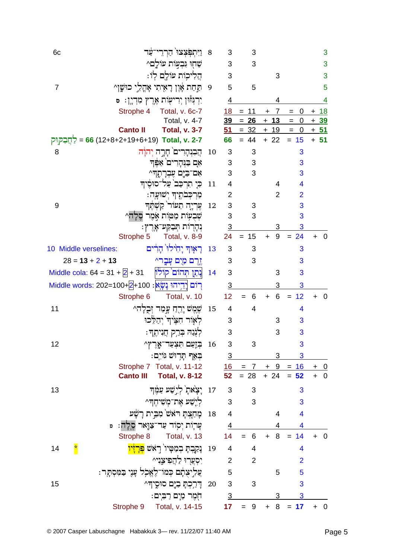| וַיִּתְפְּצְצוּ הַרְרֵי־עַד<br>6c                                                      | 8  | 3                         | 3                                             |                             |                | 3                                     |
|----------------------------------------------------------------------------------------|----|---------------------------|-----------------------------------------------|-----------------------------|----------------|---------------------------------------|
| שַׁחָוּ וִּבְעְוֹת עוֹלֵם^                                                             |    | $\mathsf 3$               | 3                                             |                             |                | 3                                     |
| הֵלִיכִוֹת עוֹלֵם לְוֹ:                                                                |    | 3                         |                                               | 3                           |                | 3                                     |
| 9 תַּחַת אָׁוֶן רָאָיתִי אָהֲלֵי כוּשֶׁן 2<br>7                                        |    | 5                         | 5                                             |                             |                | 5                                     |
| יִרְבְּזْוּן יְרִיעָוֹת אֶרֶץ מִדְיֶן: ס                                               |    | $\overline{4}$            |                                               | 4                           |                | <u>4</u>                              |
| Strophe 4<br>Total, v. 6c-7                                                            |    |                           | $18 = 11$                                     | $\overline{7}$<br>$\ddot{}$ | 0<br>$=$       | $+ 18$                                |
| Total, v. 4-7                                                                          |    | 39                        | $= 26$                                        | $+13$                       | $= 0$          | $+39$                                 |
| <b>Canto II</b><br><b>Total, v. 3-7</b>                                                |    | 51                        |                                               | $= 32 + 19 = 0$             |                | <u>+ 51</u>                           |
| <u>7-7 : 56 (12+8+2+19+6+19)</u> Total, v. 2-7                                         |    | 66                        | $= 44$                                        | $+22$                       | $= 15$         | $+ 51$                                |
| הֲבִנְהָרִים הָרֶה יְהֹוָה<br>8                                                        | 10 | 3                         | 3                                             |                             | 3              |                                       |
| אָם בַּנִּהָרִים אַפֵּך                                                                |    | $\ensuremath{\mathsf{3}}$ | 3                                             |                             | 3              |                                       |
| אִם־בַּיֵּם עֵבְרַתֶּהִי                                                               |    | $\mathfrak{B}$            | 3                                             |                             | 3              |                                       |
| כִּי תִרְכַּב <sup>י</sup> עַל־סוּסֵיה                                                 | 11 | 4                         |                                               | 4                           | 4              |                                       |
| מַרִכְּבֹתֱיִךְ יִשׁוּעָָה:                                                            |    | $\overline{2}$            |                                               | 2                           | $\overline{2}$ |                                       |
| עִרְיָה תֵעוֹר קַשְׁתֶּך<br>9                                                          | 12 | 3                         | 3                                             |                             | 3              |                                       |
| שִׁבְעָוֹת מַטַּוֹת אָמֶר סֵלָה^                                                       |    | 3                         | 3                                             |                             | 3              |                                       |
| ּנְהָרוֹת תְּבַקַע־אָרֶץ:                                                              |    | $\overline{3}$            |                                               | 3                           | 3              |                                       |
| Strophe 5<br><b>Total, v. 8-9</b>                                                      |    | 24                        | 15<br>$=$                                     | 9<br>$+$                    | $= 24$         | $\overline{0}$<br>$+$                 |
| تَـٰ مَأْنَـٰذُ نَـٰلِزِدِرِ لِـٰٓزِيِّدِتِ<br>10 Middle verselines:                   | 13 | 3                         | 3                                             |                             | 3              |                                       |
| $28 = 13 + 2 + 13$<br>יֶדֶם מַיָם עָבֶר^                                               |    | 3                         | 3                                             |                             | 3              |                                       |
| נְתַן תְּהוֹם קוֹלוֹ<br>Middle cola: $64 = 31 + 2 + 31$                                | 14 | 3                         |                                               | 3                           | 3              |                                       |
| <u>רִוֹּם לְדֵיְהוּ נָשֶׂא : 100+A</u> +100 <u>(אֲ</u> ׂא : 100+Middle words: 202=100+ |    | $\overline{3}$            |                                               | 3                           | 3              |                                       |
| Strophe 6<br>Total, v. 10                                                              |    | 12                        | 6                                             | 6<br>$+$                    | 12<br>$=$      | $\overline{0}$<br>$\ddot{}$           |
| ֹשֵׁמֵשׁ יָרֶהַ עֲמַד זִּבְלָה^<br>11                                                  | 15 | 4                         | 4                                             |                             | 4              |                                       |
| לְאָוֹר חָצֵיוּךְ יִהַלֵּכוּ                                                           |    | 3                         |                                               | 3                           | 3              |                                       |
| לְגָנַה בְּרֵק חֲנִיתֶךָ:                                                              |    | 3                         |                                               | 3                           | 3              |                                       |
| 12<br>16 בְּזָעַם תִּצְעַד־אֱרֶץ^                                                      |    | 3                         | 3                                             |                             | 3              |                                       |
| בִאַף תַּרְוּשׁ גּוֹיִם:                                                               |    | $\overline{3}$            |                                               | 3                           | 3              |                                       |
| Strophe 7 Total, v. 11-12                                                              |    |                           | $\frac{16}{16}$ = 7 + 9 = $\frac{16}{16}$ + 0 |                             |                |                                       |
| <b>Canto III</b><br><b>Total, v. 8-12</b>                                              |    |                           | $52 = 28$                                     | $+24$                       | $= 52$         | $+$<br>$\overline{\mathbf{0}}$        |
| 17 יַצָאת <sup>ֶי</sup> לְיֵשָׁע עַמֶּךְ<br>13                                         |    | $\sqrt{3}$                | 3                                             |                             | 3              |                                       |
| לִיָשַׁע אֶת־מָשִׁיחֵדִּ^                                                              |    | 3                         | 3                                             |                             | 3              |                                       |
| 18 - מַחַצִּתַּ רֹאשׁ מִבֵּית רַשָּׁע                                                  |    | $\overline{4}$            |                                               | 4                           | 4              |                                       |
| עָרְוֹת יְסִוֹד עַד־צַוֶּאר סֱלָה: פּ                                                  |    | $\frac{4}{ }$             |                                               |                             | 4              |                                       |
| Strophe 8 Total, v. 13                                                                 |    | 14                        | $= 6$                                         |                             | $+ 8 = 14$     | $\overline{0}$                        |
| *<br>L<br>נְקַבְתָּ בְמַטְּיו <sup>י</sup> רְאֹשׁ <mark>פְּרָזָיו</mark><br>14         | 19 | 4                         | 4                                             |                             | 4              |                                       |
| יִסְעֲרִוּ לַהֲפִיצֵנִי^                                                               |    | $\overline{2}$            | $\overline{2}$                                |                             | $\overline{2}$ |                                       |
| ִעֲלִיצָתָם כְּמוֹ־לֶאֱכְל עָנֶי בַּמִּסְתָּר:                                         |    | 5                         |                                               | 5                           | 5              |                                       |
| 15<br>דַרַכִהָ בָיֶם סוּסֵידִּ^                                                        | 20 | $\mathbf{3}$              | 3                                             |                             | 3              |                                       |
| חִמֶר מַיָם רַבְיִם:                                                                   |    | $\overline{3}$            |                                               | 3                           | 3              |                                       |
| Total, v. 14-15<br>Strophe 9                                                           |    | 17                        | $9\,$<br>$=$                                  | 8<br>$+$                    | $= 17$         | $\overline{\phantom{0}}$<br>$\ddot{}$ |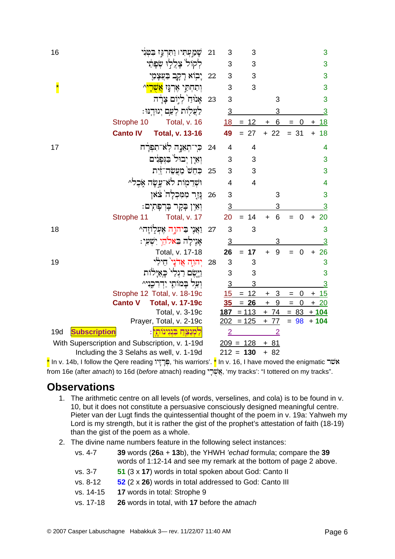| 16                                             |                 | שָׁמַעִּתִּיו וַחְרַנִּז בִטְנִי            | 21 | 3              | 3              |                |                    | 3                      |
|------------------------------------------------|-----------------|---------------------------------------------|----|----------------|----------------|----------------|--------------------|------------------------|
|                                                |                 | לִקוֹל צָלֲלִוּ שִׂפָּתַׁי                  |    | 3              | 3              |                |                    | 3                      |
|                                                |                 | יָבְוֹא רָקֶב בַּעֲצָמַי                    | 22 | 3              | 3              |                |                    | 3                      |
|                                                |                 | וִתַחִתַּי אֶרְנֶּז <mark>אֲשָׁרָי</mark> ^ |    | 3              | 3              |                |                    | 3                      |
|                                                |                 | אָנוּדַוֹ לְיִוֹם צָרַד                     | 23 | 3              |                | 3              |                    | 3                      |
|                                                |                 | לַעֲלִוֹת לִעַם יְגוּדֵנּוּ:                |    | $\overline{3}$ |                | 3              |                    | $\overline{3}$         |
|                                                | Strophe 10      | Total, v. 16                                |    | 18             | $= 12$         | 6<br>$+$       | 0<br>$=$           | <u>18</u><br>$\ddot{}$ |
|                                                | <b>Canto IV</b> | <b>Total, v. 13-16</b>                      |    | 49             | 27<br>$=$      | $+22$          | $= 31$             | 18<br>$+$              |
| 17                                             |                 | כִּי־תְאֵנֶה לְאֹ־תִפְרָׁח                  | 24 | 4              | 4              |                |                    | 4                      |
|                                                |                 | וְאֵין יִבוּל בַּגְּפָגִים                  |    | 3              | 3              |                |                    | 3                      |
|                                                |                 | ּכְחֵשׁ מַעֲשֶׂה־זַיִּת                     | 25 | 3              | 3              |                |                    | 3                      |
|                                                |                 | וּשְׁרֵמְוֹת לֹא־עֲשָׂה אָכֵל^              |    | 4              | $\overline{4}$ |                |                    | 4                      |
|                                                |                 | נְּזַר מִמְכִלָה צֹאו                       | 26 | 3              |                | 3              |                    | 3                      |
|                                                |                 | וְאֵין בְקָר בְּרְפְתִים:                   |    | $\overline{3}$ |                | 3              |                    | 3                      |
|                                                | Strophe 11      | Total, v. 17                                |    | 20             | 14             | 6<br>$\ddot{}$ | $\mathbf 0$<br>$=$ | 20<br>$\ddot{}$        |
| 18                                             |                 | וַאֲנִי בַיהוֶה אֶעְלְוֹזַה^                | 27 | 3              | 3              |                |                    | 3                      |
|                                                |                 | אַיֵילַה בֵּאלֹהֵי יִשְׁעִי:                |    | $\overline{3}$ |                | 3              |                    | $\overline{3}$         |
|                                                |                 | Total, v. 17-18                             |    | 26             | $= 17$         | 9<br>$\ddot{}$ | $\mathbf 0$        | $+26$                  |
| 19                                             |                 | יִהוָה אֲדֹני חילי                          | 28 | 3              | 3              |                |                    | 3                      |
|                                                |                 | וַיִּשֵׂם רַגְלַי כָאֲיַלֹוֹת               |    | 3              | 3              |                |                    | 3                      |
|                                                |                 | וִעֲל בָמוֹתַי יַדְרְכֵנִי^                 |    | $\overline{3}$ | 3              |                |                    | $\overline{3}$         |
|                                                |                 | Strophe 12 Total, v. 18-19c                 |    | 15             | $= 12$         | 3<br>$\ddot{}$ | 0<br>$=$           | 15<br>$\pm$            |
|                                                | <b>Canto V</b>  | <b>Total, v. 17-19c</b>                     |    | 35             | $= 26$         | $\ddot{}$<br>9 | $= 0$              | $+20$                  |
|                                                |                 | Total, v. 3-19c                             |    | <u>187</u>     | $= 113$        | $+ 74$         | $= 83$             | $+104$                 |
|                                                |                 | Prayer, Total, v. 2-19c                     |    | <u> 202</u>    | $= 125$        | $+ 77$         | $= 98$             | $+104$                 |
| <b>Subscription</b><br>19d                     |                 | <u>קמִנַצֵּח בִּנְגִינוֹתֵי</u> :           |    | $\overline{2}$ |                | $\overline{2}$ |                    |                        |
| With Superscription and Subscription, v. 1-19d |                 |                                             |    |                | $209 = 128$    | $+81$          |                    |                        |
|                                                |                 | Including the 3 Selahs as well, v. 1-19d    |    |                | $212 = 130$    | $+82$          |                    |                        |

<mark>\*</mark> In v. 14b, I follow the Qere reading פְּרָיָוֹ (fis warriors'. <mark>\*</mark> In v. 16, I have moved the enigmatic שׂה from 16e (after atnach) to 16d (before atnach) reading "פֻּשֶׁרָי, 'my tracks': "I tottered on my tracks".

#### **Observations**

- 1. The arithmetic centre on all levels (of words, verselines, and cola) is to be found in v. 10, but it does not constitute a persuasive consciously designed meaningful centre. Pieter van der Lugt finds the quintessential thought of the poem in v. 19a: Yahweh my Lord is my strength, but it is rather the gist of the prophet's attestation of faith (18-19) than the gist of the poem as a whole.
- 2. The divine name numbers feature in the following select instances:

| vs. 4-7 | 39 words $(26a + 13b)$ , the YHWH 'echad formula; compare the 39  |
|---------|-------------------------------------------------------------------|
|         | words of 1:12-14 and see my remark at the bottom of page 2 above. |

- $VS.3-7$ 51 (3 x 17) words in total spoken about God: Canto II
- vs. 8-12 52 (2 x 26) words in total addressed to God: Canto III
- vs. 14-15 17 words in total: Strophe 9
- vs. 17-18 26 words in total, with 17 before the atnach